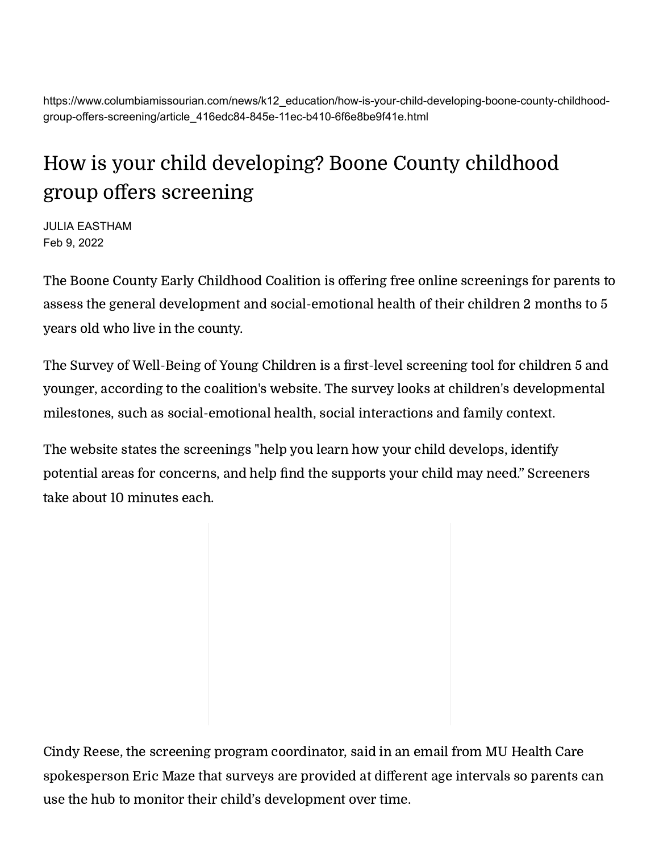https://www.columbiamissourian.com/news/k12\_education/how-is-your-child-developing-boone-county-childhoodgroup-offers-screening/article\_416edc84-845e-11ec-b410-6f6e8be9f41e.html

## How is your child developing? Boone County childhood group offers screening

JULIA EASTHAM Feb 9, 2022

The Boone County Early Childhood Coalition is offering free online [screenings](https://screeninghub.bcecc.org/home/registerfamily) for parents to assess the general development and social-emotional health of their children 2 months to 5 years old who live in the county.

The Survey of Well-Being of Young Children is a first-level screening tool for children 5 and younger, according to the [coalition's](https://www.bcecc.org/social-emotional-screening) website. The survey looks at children's developmental milestones, such as social-emotional health, social interactions and family context.

The website states the screenings "help you learn how your child develops, identify potential areas for concerns, and help find the supports your child may need." Screeners take about 10 minutes each.

Cindy Reese, the screening program coordinator, said in an email from MU Health Care spokesperson Eric Maze that surveys are provided at different age intervals so parents can use the hub to monitor their child's development over time.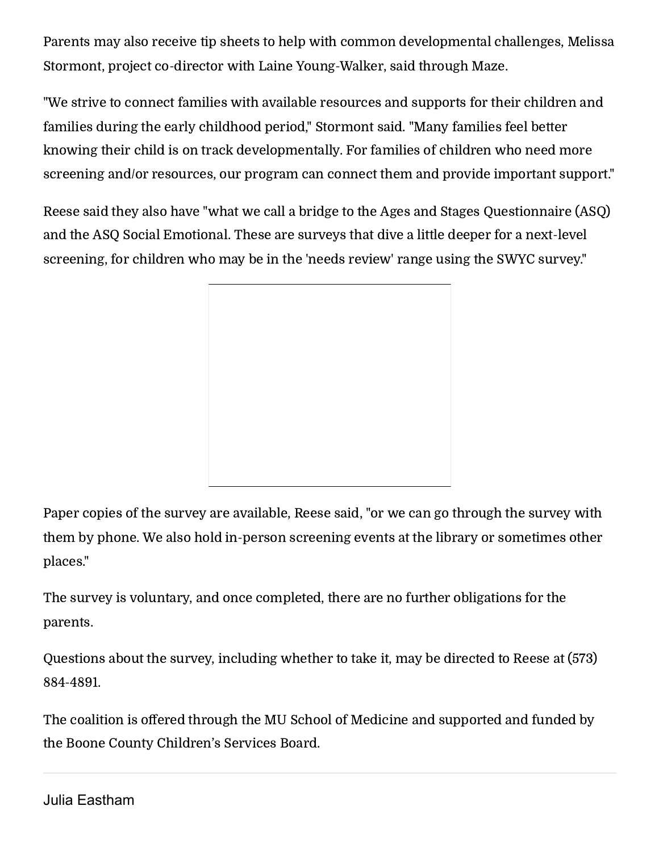Parents may also receive tip sheets to help with common developmental challenges, Melissa Stormont, project co-director with Laine Young-Walker, said through Maze.

"We strive to connect families with available resources and supports for their children and families during the early childhood period," Stormont said. "Many families feel better knowing their child is on track developmentally. For families of children who need more screening and/or resources, our program can connect them and provide important support."

Reese said they also have "what we call a bridge to the Ages and Stages Questionnaire (ASQ) and the ASQ Social Emotional. These are surveys that dive a little deeper for a next-level screening, for children who may be in the 'needs review' range using the SWYC survey."

Paper copies of the survey are available, Reese said, "or we can go through the survey with them by phone. We also hold in-person screening events at the library or sometimes other places."

The survey is voluntary, and once completed, there are no further obligations for the parents.

Questions about the survey, including whether to take it, may be directed to Reese at (573) 884-4891.

The coalition is offered through the MU School of Medicine and supported and funded by the Boone County Children's Services Board.